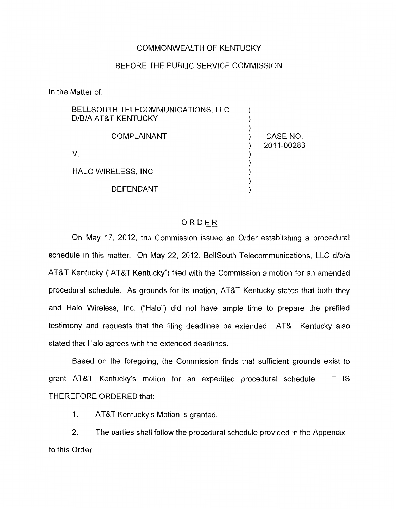#### COMMONWEALTH OF KENTUCKY

### BEFORE THE PUBLIC SERVICE COMMISSION

In the Matter of:

| BELLSOUTH TELECOMMUNICATIONS, LLC<br>D/B/A AT&T KENTUCKY |                        |
|----------------------------------------------------------|------------------------|
| <b>COMPLAINANT</b>                                       | CASE NO.<br>2011-00283 |
|                                                          |                        |
| <b>HALO WIRELESS, INC.</b>                               |                        |
| <b>DEFENDANT</b>                                         |                        |

### ORDER

On May 17, 2012, the Commission issued an Order establishing a procedural schedule in this matter. On May 22, 2012, BellSouth Telecommunications, LLC d/b/a AT&T Kentucky ("AT&T Kentucky") filed with the Commission a motion for an amended procedural schedule. As grounds for its motion, AT&T Kentucky states that bath they and Halo Wireless, Inc. ("Halo") did not have ample time to prepare the prefiled testimony and requests that the filing deadlines be extended. AT&T Kentucky also stated that Halo agrees with the extended deadlines.

Based on the foregoing, the Commission finds that sufficient grounds exist to grant AT&T Kentucky's motion for an expedited procedural schedule. IT IS THEREFORE ORDERED that:

1. AT&T Kentucky's Motion is granted.

2. The parties shall follow the procedural schedule provided in the Appendix to this Order.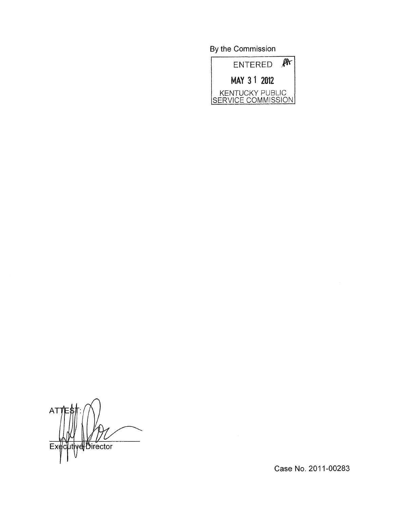By the Commission



A<sub>1</sub> ecutive Director  $E$ 

Case No. 2011-00283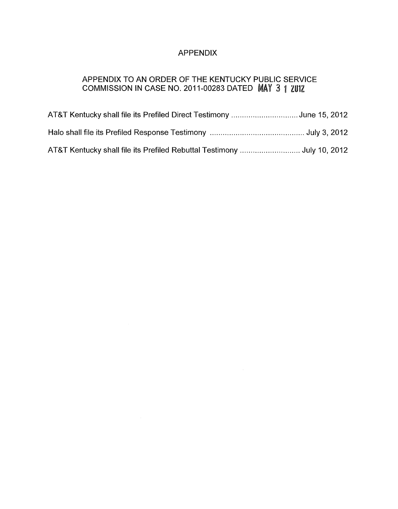# APPENDIX

## APPENDIX TO AN ORDER OF THE KENTUCKY PUBLIC SERVICE COMMISSION IN CASE NO. 2011-00283 DATED  $\mathsf{MAX}$  3

| AT&T Kentucky shall file its Prefiled Direct Testimony June 15, 2012 |  |
|----------------------------------------------------------------------|--|
|                                                                      |  |
|                                                                      |  |